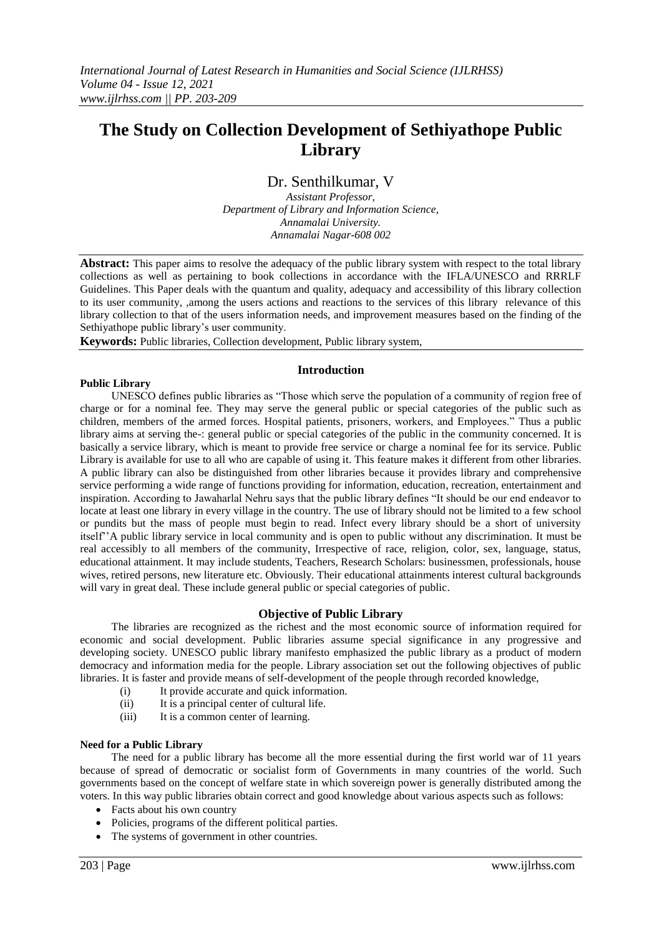# **The Study on Collection Development of Sethiyathope Public Library**

## Dr. Senthilkumar, V

*Assistant Professor, Department of Library and Information Science, Annamalai University. Annamalai Nagar-608 002*

**Abstract:** This paper aims to resolve the adequacy of the public library system with respect to the total library collections as well as pertaining to book collections in accordance with the IFLA/UNESCO and RRRLF Guidelines. This Paper deals with the quantum and quality, adequacy and accessibility of this library collection to its user community, ,among the users actions and reactions to the services of this library relevance of this library collection to that of the users information needs, and improvement measures based on the finding of the Sethiyathope public library's user community.

**Keywords:** Public libraries, Collection development, Public library system,

#### **Introduction**

#### **Public Library**

UNESCO defines public libraries as "Those which serve the population of a community of region free of charge or for a nominal fee. They may serve the general public or special categories of the public such as children, members of the armed forces. Hospital patients, prisoners, workers, and Employees." Thus a public library aims at serving the-: general public or special categories of the public in the community concerned. It is basically a service library, which is meant to provide free service or charge a nominal fee for its service. Public Library is available for use to all who are capable of using it. This feature makes it different from other libraries. A public library can also be distinguished from other libraries because it provides library and comprehensive service performing a wide range of functions providing for information, education, recreation, entertainment and inspiration. According to Jawaharlal Nehru says that the public library defines "It should be our end endeavor to locate at least one library in every village in the country. The use of library should not be limited to a few school or pundits but the mass of people must begin to read. Infect every library should be a short of university itself""A public library service in local community and is open to public without any discrimination. It must be real accessibly to all members of the community, Irrespective of race, religion, color, sex, language, status, educational attainment. It may include students, Teachers, Research Scholars: businessmen, professionals, house wives, retired persons, new literature etc. Obviously. Their educational attainments interest cultural backgrounds will vary in great deal. These include general public or special categories of public.

## **Objective of Public Library**

The libraries are recognized as the richest and the most economic source of information required for economic and social development. Public libraries assume special significance in any progressive and developing society. UNESCO public library manifesto emphasized the public library as a product of modern democracy and information media for the people. Library association set out the following objectives of public libraries. It is faster and provide means of self-development of the people through recorded knowledge,

- (i) It provide accurate and quick information.
- (ii) It is a principal center of cultural life.
- (iii) It is a common center of learning.

#### **Need for a Public Library**

The need for a public library has become all the more essential during the first world war of 11 years because of spread of democratic or socialist form of Governments in many countries of the world. Such governments based on the concept of welfare state in which sovereign power is generally distributed among the voters. In this way public libraries obtain correct and good knowledge about various aspects such as follows:

- Facts about his own country
- Policies, programs of the different political parties.
- The systems of government in other countries.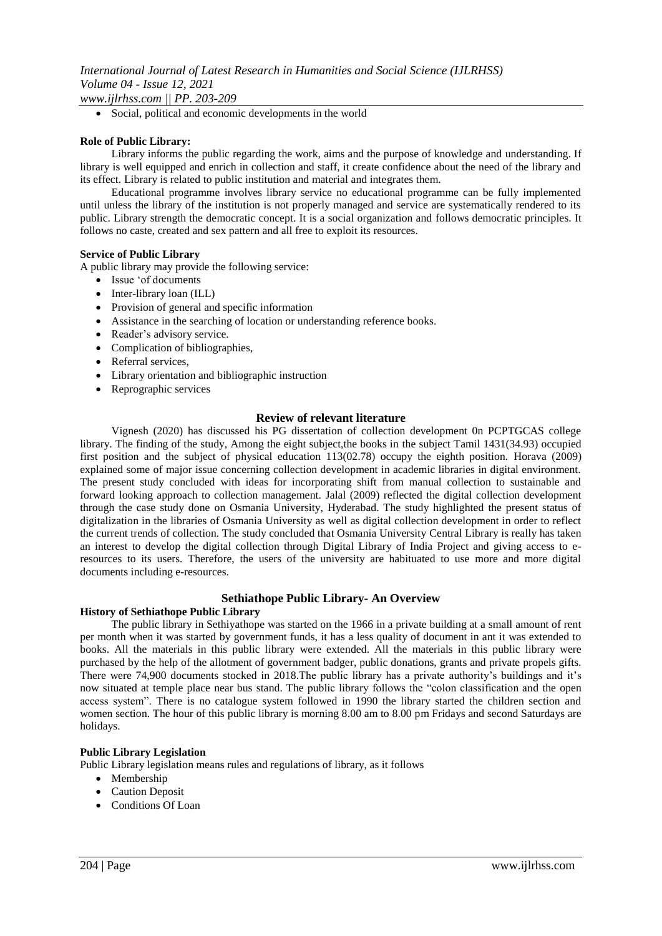*www.ijlrhss.com || PP. 203-209*

Social, political and economic developments in the world

#### **Role of Public Library:**

Library informs the public regarding the work, aims and the purpose of knowledge and understanding. If library is well equipped and enrich in collection and staff, it create confidence about the need of the library and its effect. Library is related to public institution and material and integrates them.

Educational programme involves library service no educational programme can be fully implemented until unless the library of the institution is not properly managed and service are systematically rendered to its public. Library strength the democratic concept. It is a social organization and follows democratic principles. It follows no caste, created and sex pattern and all free to exploit its resources.

#### **Service of Public Library**

A public library may provide the following service:

- Issue "of documents
- Inter-library loan (ILL)
- Provision of general and specific information
- Assistance in the searching of location or understanding reference books.
- Reader's advisory service.
- Complication of bibliographies,
- Referral services,
- Library orientation and bibliographic instruction
- Reprographic services

#### **Review of relevant literature**

Vignesh (2020) has discussed his PG dissertation of collection development 0n PCPTGCAS college library. The finding of the study, Among the eight subject,the books in the subject Tamil 1431(34.93) occupied first position and the subject of physical education 113(02.78) occupy the eighth position. Horava (2009) explained some of major issue concerning collection development in academic libraries in digital environment. The present study concluded with ideas for incorporating shift from manual collection to sustainable and forward looking approach to collection management. Jalal (2009) reflected the digital collection development through the case study done on Osmania University, Hyderabad. The study highlighted the present status of digitalization in the libraries of Osmania University as well as digital collection development in order to reflect the current trends of collection. The study concluded that Osmania University Central Library is really has taken an interest to develop the digital collection through Digital Library of India Project and giving access to eresources to its users. Therefore, the users of the university are habituated to use more and more digital documents including e-resources.

#### **Sethiathope Public Library- An Overview**

#### **History of Sethiathope Public Library**

The public library in Sethiyathope was started on the 1966 in a private building at a small amount of rent per month when it was started by government funds, it has a less quality of document in ant it was extended to books. All the materials in this public library were extended. All the materials in this public library were purchased by the help of the allotment of government badger, public donations, grants and private propels gifts. There were 74,900 documents stocked in 2018.The public library has a private authority"s buildings and it"s now situated at temple place near bus stand. The public library follows the "colon classification and the open access system". There is no catalogue system followed in 1990 the library started the children section and women section. The hour of this public library is morning 8.00 am to 8.00 pm Fridays and second Saturdays are holidays.

#### **Public Library Legislation**

Public Library legislation means rules and regulations of library, as it follows

- Membership
- Caution Deposit
- Conditions Of Loan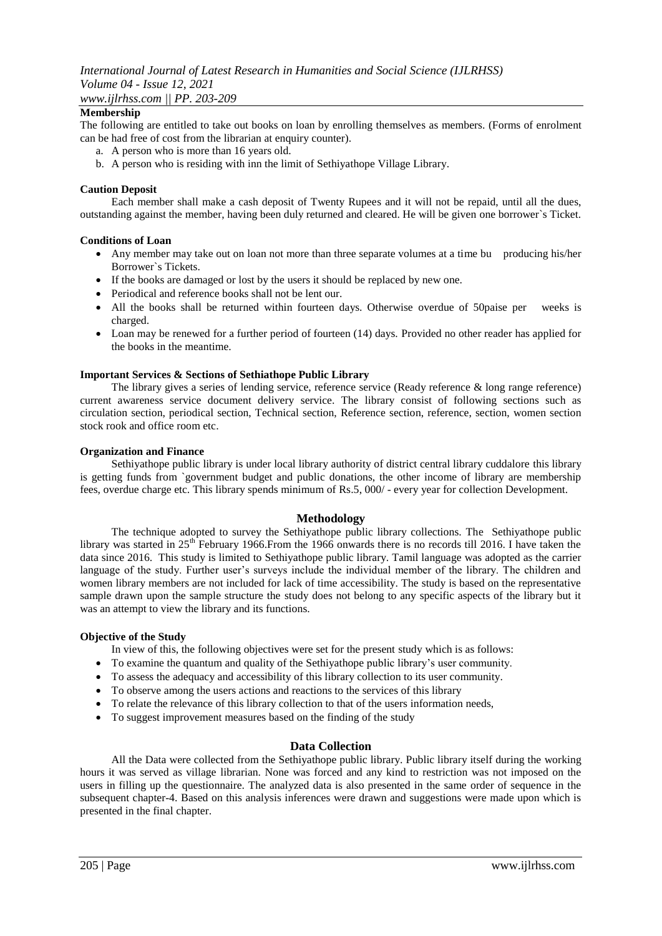*www.ijlrhss.com || PP. 203-209*

## **Membership**

The following are entitled to take out books on loan by enrolling themselves as members. (Forms of enrolment can be had free of cost from the librarian at enquiry counter).

- a. A person who is more than 16 years old.
- b. A person who is residing with inn the limit of Sethiyathope Village Library.

#### **Caution Deposit**

Each member shall make a cash deposit of Twenty Rupees and it will not be repaid, until all the dues, outstanding against the member, having been duly returned and cleared. He will be given one borrower`s Ticket.

#### **Conditions of Loan**

- Any member may take out on loan not more than three separate volumes at a time bu producing his/her Borrower`s Tickets.
- If the books are damaged or lost by the users it should be replaced by new one.
- Periodical and reference books shall not be lent our.
- All the books shall be returned within fourteen days. Otherwise overdue of 50paise per weeks is charged.
- Loan may be renewed for a further period of fourteen (14) days. Provided no other reader has applied for the books in the meantime.

#### **Important Services & Sections of Sethiathope Public Library**

The library gives a series of lending service, reference service (Ready reference & long range reference) current awareness service document delivery service. The library consist of following sections such as circulation section, periodical section, Technical section, Reference section, reference, section, women section stock rook and office room etc.

#### **Organization and Finance**

Sethiyathope public library is under local library authority of district central library cuddalore this library is getting funds from `government budget and public donations, the other income of library are membership fees, overdue charge etc. This library spends minimum of Rs.5, 000/ - every year for collection Development.

## **Methodology**

The technique adopted to survey the Sethiyathope public library collections. The Sethiyathope public library was started in 25<sup>th</sup> February 1966.From the 1966 onwards there is no records till 2016. I have taken the data since 2016. This study is limited to Sethiyathope public library. Tamil language was adopted as the carrier language of the study. Further user's surveys include the individual member of the library. The children and women library members are not included for lack of time accessibility. The study is based on the representative sample drawn upon the sample structure the study does not belong to any specific aspects of the library but it was an attempt to view the library and its functions.

#### **Objective of the Study**

In view of this, the following objectives were set for the present study which is as follows:

- To examine the quantum and quality of the Sethiyathope public library"s user community.
- To assess the adequacy and accessibility of this library collection to its user community.
- To observe among the users actions and reactions to the services of this library
- To relate the relevance of this library collection to that of the users information needs,
- To suggest improvement measures based on the finding of the study

#### **Data Collection**

All the Data were collected from the Sethiyathope public library. Public library itself during the working hours it was served as village librarian. None was forced and any kind to restriction was not imposed on the users in filling up the questionnaire. The analyzed data is also presented in the same order of sequence in the subsequent chapter-4. Based on this analysis inferences were drawn and suggestions were made upon which is presented in the final chapter.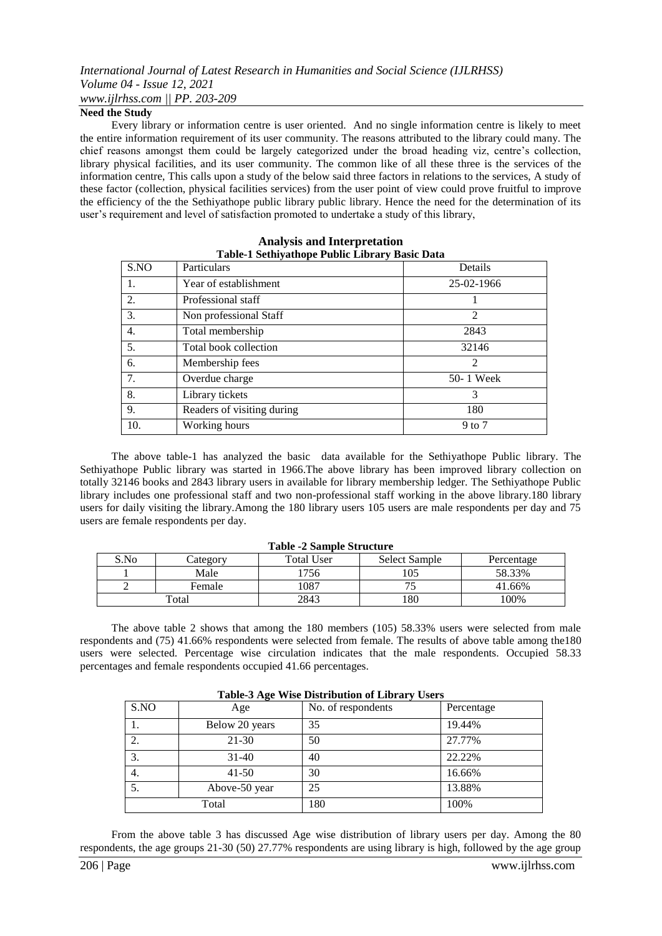## *International Journal of Latest Research in Humanities and Social Science (IJLRHSS) Volume 04 - Issue 12, 2021 www.ijlrhss.com || PP. 203-209*

#### **Need the Study**

Every library or information centre is user oriented. And no single information centre is likely to meet the entire information requirement of its user community. The reasons attributed to the library could many. The chief reasons amongst them could be largely categorized under the broad heading viz, centre's collection, library physical facilities, and its user community. The common like of all these three is the services of the information centre, This calls upon a study of the below said three factors in relations to the services, A study of these factor (collection, physical facilities services) from the user point of view could prove fruitful to improve the efficiency of the the Sethiyathope public library public library. Hence the need for the determination of its user's requirement and level of satisfaction promoted to undertake a study of this library,

| S.NO | Particulars                | Details        |
|------|----------------------------|----------------|
| 1.   | Year of establishment      | 25-02-1966     |
| 2.   | Professional staff         |                |
| 3.   | Non professional Staff     | $\mathfrak{D}$ |
| 4.   | Total membership           | 2843           |
| 5.   | Total book collection      | 32146          |
| 6.   | Membership fees            | 2              |
| 7.   | Overdue charge             | 50-1 Week      |
| 8.   | Library tickets            | 3              |
| 9.   | Readers of visiting during | 180            |
| 10.  | Working hours              | 9 to 7         |

#### **Analysis and Interpretation Table-1 Sethiyathope Public Library Basic Data**

The above table-1 has analyzed the basic data available for the Sethiyathope Public library. The Sethiyathope Public library was started in 1966.The above library has been improved library collection on totally 32146 books and 2843 library users in available for library membership ledger. The Sethiyathope Public library includes one professional staff and two non-professional staff working in the above library.180 library users for daily visiting the library.Among the 180 library users 105 users are male respondents per day and 75 users are female respondents per day.

| <b>Table -2 Sample Structure</b> |          |                   |               |            |
|----------------------------------|----------|-------------------|---------------|------------|
| S.No                             | Category | <b>Total User</b> | Select Sample | Percentage |
|                                  | Male     | 756               | 105           | 58.33%     |
|                                  | Female   | .087              |               | 41.66%     |
| Total                            |          | 2843              | 180           | 100%       |

#### The above table 2 shows that among the 180 members (105) 58.33% users were selected from male respondents and (75) 41.66% respondents were selected from female. The results of above table among the180 users were selected. Percentage wise circulation indicates that the male respondents. Occupied 58.33 percentages and female respondents occupied 41.66 percentages.

|      | Table-3 Age wise Distribution of Library Users |                    |            |  |
|------|------------------------------------------------|--------------------|------------|--|
| S.NO | Age                                            | No. of respondents | Percentage |  |
|      | Below 20 years                                 | 35                 | 19.44%     |  |
|      | $21 - 30$                                      | 50                 | 27.77%     |  |
| 3.   | $31 - 40$                                      | 40                 | 22.22%     |  |
| 4.   | $41 - 50$                                      | 30                 | 16.66%     |  |
| 5.   | Above-50 year                                  | 25                 | 13.88%     |  |
|      | Total                                          | 180                | 100%       |  |

**Table-3 Age Wise Distribution of Library Users**

From the above table 3 has discussed Age wise distribution of library users per day. Among the 80 respondents, the age groups 21-30 (50) 27.77% respondents are using library is high, followed by the age group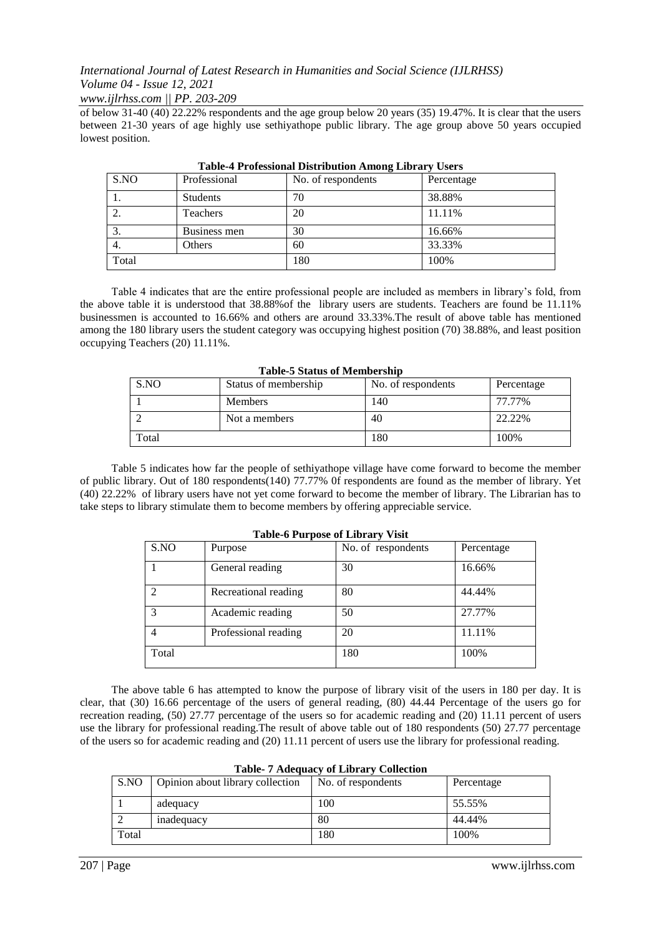*www.ijlrhss.com || PP. 203-209*

of below 31-40 (40) 22.22% respondents and the age group below 20 years (35) 19.47%. It is clear that the users between 21-30 years of age highly use sethiyathope public library. The age group above 50 years occupied lowest position.

| S.NO             | Professional    | No. of respondents | Percentage |
|------------------|-----------------|--------------------|------------|
|                  | <b>Students</b> | 70                 | 38.88%     |
|                  | Teachers        | 20                 | 11.11%     |
| $\mathfrak{I}$ . | Business men    | 30                 | 16.66%     |
| 4.               | Others          | 60                 | 33.33%     |
| Total            |                 | 180                | 100%       |

**Table-4 Professional Distribution Among Library Users**

Table 4 indicates that are the entire professional people are included as members in library"s fold, from the above table it is understood that 38.88%of the library users are students. Teachers are found be 11.11% businessmen is accounted to 16.66% and others are around 33.33%.The result of above table has mentioned among the 180 library users the student category was occupying highest position (70) 38.88%, and least position occupying Teachers (20) 11.11%.

| тамк с опана от птешменти |                      |                    |            |
|---------------------------|----------------------|--------------------|------------|
| S.NO                      | Status of membership | No. of respondents | Percentage |
|                           | <b>Members</b>       | 140                | 77.77%     |
|                           | Not a members        | 40                 | 22.22%     |
| Total                     |                      | 180                | 100%       |

**Table-5 Status of Membership**

Table 5 indicates how far the people of sethiyathope village have come forward to become the member of public library. Out of 180 respondents(140) 77.77% 0f respondents are found as the member of library. Yet (40) 22.22% of library users have not yet come forward to become the member of library. The Librarian has to take steps to library stimulate them to become members by offering appreciable service.

| $1400 \times 141$ pose of Eightis $\frac{1}{2}$ |                      |                    |            |
|-------------------------------------------------|----------------------|--------------------|------------|
| S.NO                                            | Purpose              | No. of respondents | Percentage |
|                                                 | General reading      | 30                 | 16.66%     |
|                                                 | Recreational reading | 80                 | 44.44%     |
|                                                 | Academic reading     | 50                 | 27.77%     |
|                                                 | Professional reading | 20                 | 11.11%     |
| Total                                           |                      | 180                | 100%       |

### **Table-6 Purpose of Library Visit**

The above table 6 has attempted to know the purpose of library visit of the users in 180 per day. It is clear, that (30) 16.66 percentage of the users of general reading, (80) 44.44 Percentage of the users go for recreation reading, (50) 27.77 percentage of the users so for academic reading and (20) 11.11 percent of users use the library for professional reading.The result of above table out of 180 respondents (50) 27.77 percentage of the users so for academic reading and (20) 11.11 percent of users use the library for professional reading.

|       | Table- Proceduacy of Endraly Concentrum |                    |            |  |
|-------|-----------------------------------------|--------------------|------------|--|
| S.NO  | Opinion about library collection        | No. of respondents | Percentage |  |
|       | adequacy                                | 100                | 55.55%     |  |
|       | inadequacy                              | 80                 | 44.44%     |  |
| Total |                                         | 180                | 100%       |  |

| <b>Table- 7 Adequacy of Library Collection</b> |  |  |  |
|------------------------------------------------|--|--|--|
|------------------------------------------------|--|--|--|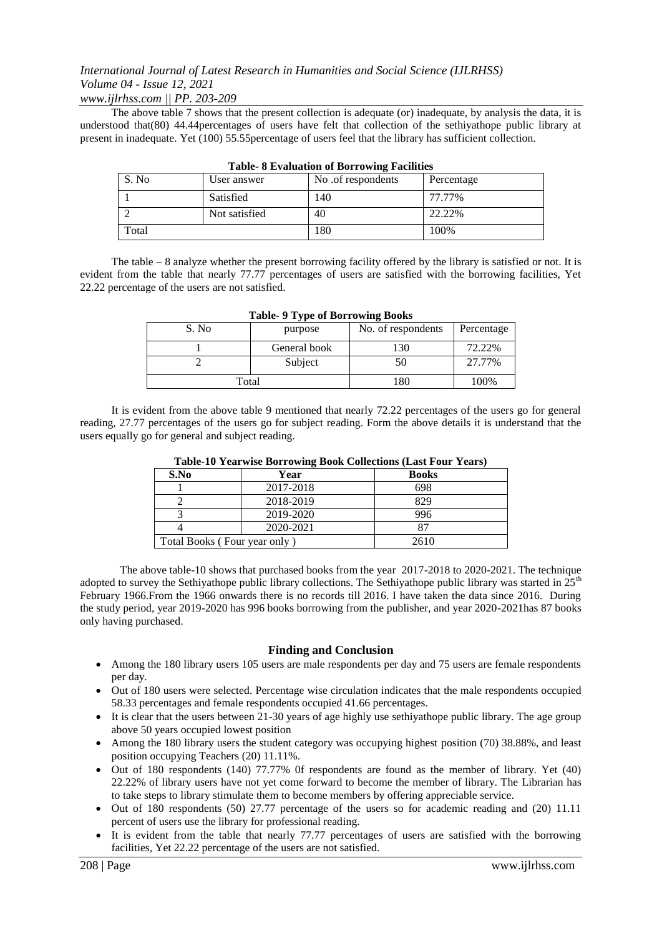*www.ijlrhss.com || PP. 203-209*

The above table 7 shows that the present collection is adequate (or) inadequate, by analysis the data, it is understood that(80) 44.44percentages of users have felt that collection of the sethiyathope public library at present in inadequate. Yet (100) 55.55percentage of users feel that the library has sufficient collection.

|       | Table 6 Evaluation of Borrowing Pacifices |                   |            |  |
|-------|-------------------------------------------|-------------------|------------|--|
| S. No | User answer                               | No of respondents | Percentage |  |
|       | Satisfied                                 | 140               | 77.77%     |  |
|       | Not satisfied                             | 40                | 22.22%     |  |
| Total |                                           | 180               | 100%       |  |

**Table- 8 Evaluation of Borrowing Facilities**

The table – 8 analyze whether the present borrowing facility offered by the library is satisfied or not. It is evident from the table that nearly 77.77 percentages of users are satisfied with the borrowing facilities, Yet 22.22 percentage of the users are not satisfied.

| S. No | purpose      | No. of respondents | Percentage |
|-------|--------------|--------------------|------------|
|       | General book | 130                | 72.22%     |
|       | Subject      | $50^{\circ}$       | 27.77%     |
| Total |              | 180                | 100%       |

**Table- 9 Type of Borrowing Books**

It is evident from the above table 9 mentioned that nearly 72.22 percentages of the users go for general reading, 27.77 percentages of the users go for subject reading. Form the above details it is understand that the users equally go for general and subject reading.

| S.No | Year                         | Table-To Teal was Dollowing Dook Concentrum (Dast Four Teals)<br><b>Books</b> |
|------|------------------------------|-------------------------------------------------------------------------------|
|      | 2017-2018                    | 698                                                                           |
|      | 2018-2019                    | 829                                                                           |
|      | 2019-2020                    | 996                                                                           |
|      | 2020-2021                    |                                                                               |
|      | Total Books (Four year only) | 2610                                                                          |

**Table-10 Yearwise Borrowing Book Collections (Last Four Years)**

The above table-10 shows that purchased books from the year 2017-2018 to 2020-2021. The technique adopted to survey the Sethiyathope public library collections. The Sethiyathope public library was started in  $25<sup>th</sup>$ February 1966.From the 1966 onwards there is no records till 2016. I have taken the data since 2016. During the study period, year 2019-2020 has 996 books borrowing from the publisher, and year 2020-2021has 87 books only having purchased.

## **Finding and Conclusion**

- Among the 180 library users 105 users are male respondents per day and 75 users are female respondents per day.
- Out of 180 users were selected. Percentage wise circulation indicates that the male respondents occupied 58.33 percentages and female respondents occupied 41.66 percentages.
- It is clear that the users between 21-30 years of age highly use sethiyathope public library. The age group above 50 years occupied lowest position
- Among the 180 library users the student category was occupying highest position (70) 38.88%, and least position occupying Teachers (20) 11.11%.
- Out of 180 respondents (140) 77.77% 0f respondents are found as the member of library. Yet (40) 22.22% of library users have not yet come forward to become the member of library. The Librarian has to take steps to library stimulate them to become members by offering appreciable service.
- Out of 180 respondents (50) 27.77 percentage of the users so for academic reading and (20) 11.11 percent of users use the library for professional reading.
- It is evident from the table that nearly 77.77 percentages of users are satisfied with the borrowing facilities, Yet 22.22 percentage of the users are not satisfied.